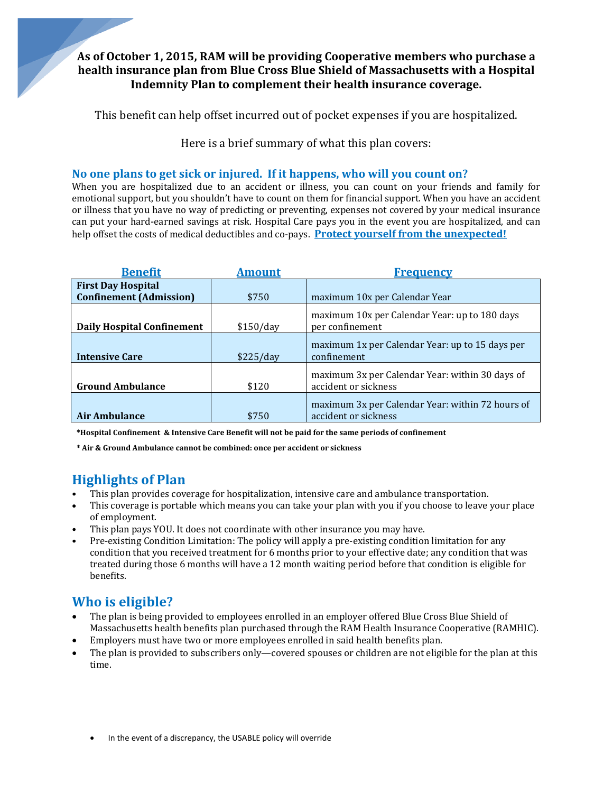### **As of October 1, 2015, RAM will be providing Cooperative members who purchase a health insurance plan from Blue Cross Blue Shield of Massachusetts with a Hospital Indemnity Plan to complement their health insurance coverage.**

This benefit can help offset incurred out of pocket expenses if you are hospitalized.

Here is a brief summary of what this plan covers:

### **No one plans to get sick or injured. If it happens, who will you count on?**

When you are hospitalized due to an accident or illness, you can count on your friends and family for emotional support, but you shouldn't have to count on them for financial support. When you have an accident or illness that you have no way of predicting or preventing, expenses not covered by your medical insurance can put your hard-earned savings at risk. Hospital Care pays you in the event you are hospitalized, and can help offset the costs of medical deductibles and co-pays. Protect vourself from the unexpected!

| <b>Benefit</b>                                              | <b>Amount</b> | <b>Frequency</b>                                                         |
|-------------------------------------------------------------|---------------|--------------------------------------------------------------------------|
| <b>First Day Hospital</b><br><b>Confinement (Admission)</b> | \$750         | maximum 10x per Calendar Year                                            |
| <b>Daily Hospital Confinement</b>                           | \$150/day     | maximum 10x per Calendar Year: up to 180 days<br>per confinement         |
| <b>Intensive Care</b>                                       | \$225/day     | maximum 1x per Calendar Year: up to 15 days per<br>confinement           |
| <b>Ground Ambulance</b>                                     | \$120         | maximum 3x per Calendar Year: within 30 days of<br>accident or sickness  |
| <b>Air Ambulance</b>                                        | \$750         | maximum 3x per Calendar Year: within 72 hours of<br>accident or sickness |

\*Hospital Confinement & Intensive Care Benefit will not be paid for the same periods of confinement

**\* Air & Ground Ambulance cannot be combined: once per accident or sickness**

## **Highlights of Plan**

- This plan provides coverage for hospitalization, intensive care and ambulance transportation.
- This coverage is portable which means you can take your plan with you if you choose to leave your place of employment.
- This plan pays YOU. It does not coordinate with other insurance you may have.
- Pre-existing Condition Limitation: The policy will apply a pre-existing condition limitation for any condition that you received treatment for 6 months prior to your effective date; any condition that was treated during those 6 months will have a 12 month waiting period before that condition is eligible for benefits.

# **Who is eligible?**

- The plan is being provided to employees enrolled in an employer offered Blue Cross Blue Shield of Massachusetts health benefits plan purchased through the RAM Health Insurance Cooperative (RAMHIC).
- Employers must have two or more employees enrolled in said health benefits plan.
- The plan is provided to subscribers only—covered spouses or children are not eligible for the plan at this time.
	- In the event of a discrepancy, the USABLE policy will override